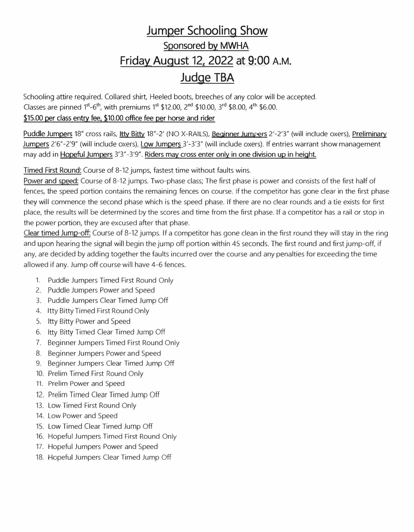## **Jumper Schooling Show Sponsored by MWHA Friday August 12, 2022 at 9:00 A.M. Judge TBA**

Schooling attire required. Collared shirt, Heeled boots, breeches of any color will be accepted. Classes are pinned 1<sup>st</sup>-6<sup>th</sup>, with premiums 1<sup>st</sup> \$12.00, 2<sup>nd</sup> \$10.00, 3<sup>rd</sup> \$8.00, 4<sup>th</sup> \$6.00.

## \$15.00 per class entry fee. \$10.00 office fee per horse and rider

Puddle Jumpers 18" cross rails, ltty Bitty 18"-2' (NO X-RAILS), Beginner Jumpers 2'-2'3" (will include oxers), Preliminary Jumpers 2'6"-2'9" (will include oxers), Low Jumpers 3'-3'3" (will include oxers). If entries warrant show management may add in Hopeful Jumpers 3'3"-3'9". Riders may cross enter only in one division up in height.

Timed First Round: Course of 8-12 jumps, fastest time without faults wins.

Power and speed: Course of 8-12 jumps. Two-phase class; The first phase is power and consists of the first half of fences, the speed portion contains the remaining fences on course. If the competitor has gone clear in the first phase they will commence the second phase which is the speed phase. If there are no clear rounds and a tie exists for first place, the results will be determined by the scores and time from the first phase. If a competitor has a rail or stop in the power portion, they are excused after that phase.

Clear timed Jump-off: Course of 8-12 jumps. If a competitor has gone clean in the first round they will stay in the ring and upon hearing the signal will begin the jump off portion within 45 seconds. The first round and first jump-off, if any, are decided by adding together the faults incurred over the course and any penalties for exceeding the time allowed if any. Jump off course will have 4-6 fences.

- 1. Puddle Jumpers Timed First Round Only
- 2. Puddle Jumpers Power and Speed
- 3. Puddle Jumpers Clear Timed Jump Off
- 4. ltty Bitty Timed First Round Only
- 5. ltty Bitty Power and Speed
- 6. ltty Bitty Timed Clear Timed Jump Off
- 7. Beginner Jumpers Timed First Round Only
- 8. Beginner Jumpers Power and Speed
- 9. Beginner Jumpers Clear Timed Jump Off
- 10. Prelim Timed First Round Only
- 11. Prelim Power and Speed
- 12. Prelim Timed Clear Timed Jump Off
- 13. Low Timed First Round Only
- 14. Low Power and Speed
- 15. Low Timed Clear Timed Jump Off
- 16. Hopeful Jumpers Timed First Round Only
- 17. Hopeful Jumpers Power and Speed
- 18. Hopeful Jumpers Clear Timed Jump Off